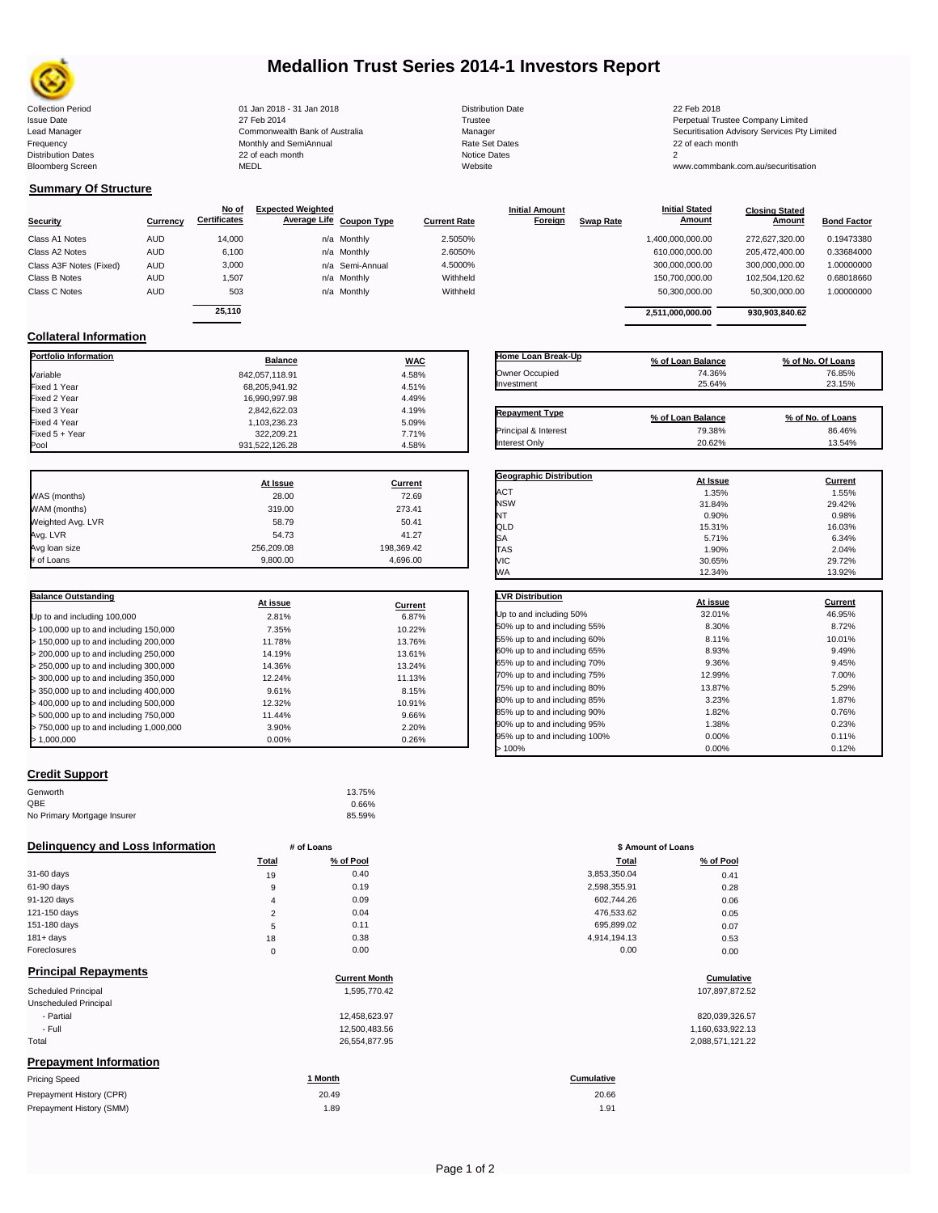

# **Medallion Trust Series 2014-1 Investors Report**

Collection Period 01 Jan 2018 - 31 Jan 2018 Distribution Date 22 Feb 2018 Issue Date 2014 27 Feb 2014 27 Feb 2014<br>Isaad Manager 2006 2017 Commonwealth Bank of Australia 2007 Manager 2008 2017 1918 2017 Securitisation Advisory Services Pty Frequency Communication Communication Monthly and SemiAnnual Communication Communication Communication Communication Communication Communication Communication Communication Communication Communication Communication Communi n and the continuum continuum continuum continuum continuum continuum continuum continuum continuum continuum c<br>
22 of each month 2<br>
MEDL Website Website Bloomberg Screen MEDL Website www.commbank.com.au/securitisation

Lead Manager **Commonwealth Bank of Australia** Manager Manager Securitisation Advisory Services Pty Limited

## **Summary Of Structure**

**Collateral Information**

|                         |            | No of               | <b>Expected Weighted</b> |                 |                     | <b>Initial Amount</b> |                  | <b>Initial Stated</b> | <b>Closing Stated</b> |                    |
|-------------------------|------------|---------------------|--------------------------|-----------------|---------------------|-----------------------|------------------|-----------------------|-----------------------|--------------------|
| <b>Security</b>         | Currency   | <b>Certificates</b> | Average Life Coupon Type |                 | <b>Current Rate</b> | Foreign               | <b>Swap Rate</b> | <u>Amount</u>         | Amount                | <b>Bond Factor</b> |
| Class A1 Notes          | <b>AUD</b> | 14,000              |                          | n/a Monthly     | 2.5050%             |                       |                  | 1,400,000,000.00      | 272.627.320.00        | 0.19473380         |
| Class A2 Notes          | <b>AUD</b> | 6,100               |                          | n/a Monthly     | 2.6050%             |                       |                  | 610,000,000.00        | 205.472.400.00        | 0.33684000         |
| Class A3F Notes (Fixed) | <b>AUD</b> | 3,000               |                          | n/a Semi-Annual | 4.5000%             |                       |                  | 300,000,000.00        | 300,000,000.00        | 1.00000000         |
| Class B Notes           | <b>AUD</b> | 1.507               |                          | n/a Monthly     | Withheld            |                       |                  | 150,700,000.00        | 102.504.120.62        | 0.68018660         |
| Class C Notes           | <b>AUD</b> | 503                 |                          | n/a Monthly     | Withheld            |                       |                  | 50,300,000.00         | 50,300,000.00         | 1.00000000         |
|                         |            | 25.110              |                          |                 |                     |                       |                  |                       |                       |                    |
|                         |            |                     |                          |                 |                     |                       |                  | 2.511.000.000.00      | 930.903.840.62        |                    |

**Portfolio Information Balance WAC** Variable 4.58% Fixed 1 Year 68,205,941.92 4.51% Fixed 2 Year 16,990,997.98 4.49% Fixed 3 Year 2,842,622.03 4.19% Fixed 4 Year 1,103,236.23 5.09% Fixed 5 + Year 7.71% 322,209.21 322,209.21 322,209.21 332,209.21 322,209.21 322,209.21 3

| Home Loan Break-Up    | % of Loan Balance | % of No. Of Loans |
|-----------------------|-------------------|-------------------|
| Owner Occupied        | 74.36%            | 76.85%            |
| Investment            | 25.64%            | 23.15%            |
| <b>Repayment Type</b> | % of Loan Balance | % of No. of Loans |
| Principal & Interest  | 79.38%            | 86.46%            |
| Interest Only         | 20.62%            | 13.54%            |

**Geographic Distribution**<br> **ACT ACT ACT ACT ACT ACT ACT ACT ACT ACT ACT ACT ACT ACT ACT ACT ACT ACT ACT ACT ACT ACT ACT ACT ACT ACT ACT ACT ACT ACT ACT** ACT 1.35% 1.55% NSW 31.84% 29.42% NT 0.90% 0.98%

**Initial Stated** 

|                   | At Issue   | <b>Current</b> |
|-------------------|------------|----------------|
| WAS (months)      | 28.00      | 72.69          |
| WAM (months)      | 319.00     | 273.41         |
| Weighted Avg. LVR | 58.79      | 50.41          |
| Avg. LVR          | 54.73      | 41.27          |
| Avg loan size     | 256,209.08 | 198,369.42     |
| # of Loans        | 9.800.00   | 4.696.00       |

 $931,522,126.28$ 

| <b>Balance Outstanding</b>              | At issue | Current |
|-----------------------------------------|----------|---------|
| Up to and including 100,000             | 2.81%    | 6.87%   |
| $>$ 100,000 up to and including 150,000 | 7.35%    | 10.22%  |
| $>$ 150,000 up to and including 200,000 | 11.78%   | 13.76%  |
| > 200,000 up to and including 250,000   | 14.19%   | 13.61%  |
| > 250,000 up to and including 300,000   | 14.36%   | 13.24%  |
| > 300,000 up to and including 350,000   | 12.24%   | 11.13%  |
| > 350,000 up to and including 400,000   | 9.61%    | 8.15%   |
| > 400,000 up to and including 500,000   | 12.32%   | 10.91%  |
| > 500,000 up to and including 750,000   | 11.44%   | 9.66%   |
| > 750,000 up to and including 1,000,000 | 3.90%    | 2.20%   |
| > 1.000.000                             | 0.00%    | 0.26%   |

## **Credit Support**

| Genworth                    | 13.75% |
|-----------------------------|--------|
| QBE                         | 0.66%  |
| No Primary Mortgage Insurer | 85.59% |

### **Delinquency and Loss Information # of Loans**

|              | Total              | % of Pool | Total        | % of Pool |
|--------------|--------------------|-----------|--------------|-----------|
| 31-60 days   | 19                 | 0.40      | 3,853,350.04 | 0.41      |
| 61-90 days   | 9                  | 0.19      | 2,598,355.91 | 0.28      |
| 91-120 days  | 4                  | 0.09      | 602.744.26   | 0.06      |
| 121-150 days | $\mathcal{D}$<br>∠ | 0.04      | 476,533.62   | 0.05      |
| 151-180 days | 5                  | 0.11      | 695,899.02   | 0.07      |
| $181 + days$ | 18                 | 0.38      | 4,914,194.13 | 0.53      |
| Foreclosures | 0                  | 0.00      | 0.00         | 0.00      |

| <b>Principal Repayments</b>   |                      |                  |
|-------------------------------|----------------------|------------------|
|                               | <b>Current Month</b> | Cumulative       |
| <b>Scheduled Principal</b>    | 1,595,770.42         | 107,897,872.52   |
| Unscheduled Principal         |                      |                  |
| - Partial                     | 12.458.623.97        | 820,039,326.57   |
| - Full                        | 12,500,483.56        | 1,160,633,922.13 |
| Total                         | 26,554,877.95        | 2,088,571,121.22 |
| <b>Prepayment Information</b> |                      |                  |
| <b>Pricing Speed</b>          | 1 Month              | Cumulative       |
|                               | 0 <sup>0</sup>       | 0.000            |

| Prepayment History (CPR) | 20.49 | 20.66 |
|--------------------------|-------|-------|
| Prepayment History (SMM) | 1.89  | 1.91  |

| QLD                          | 15.31%   | 16.03%  |
|------------------------------|----------|---------|
| SА                           | 5.71%    | 6.34%   |
| <b>TAS</b>                   | 1.90%    | 2.04%   |
| VIC                          | 30.65%   | 29.72%  |
| WА                           | 12.34%   | 13.92%  |
| <b>LVR Distribution</b>      | At issue | Current |
| Up to and including 50%      | 32.01%   | 46.95%  |
| 50% up to and including 55%  | 8.30%    | 8.72%   |
| 55% up to and including 60%  | 8.11%    | 10.01%  |
| 60% up to and including 65%  | 8.93%    | 9.49%   |
| 65% up to and including 70%  | 9.36%    | 9.45%   |
| 70% up to and including 75%  | 12.99%   | 7.00%   |
| 75% up to and including 80%  | 13.87%   | 5.29%   |
| 80% up to and including 85%  | 3.23%    | 1.87%   |
| 85% up to and including 90%  | 1.82%    | 0.76%   |
| 90% up to and including 95%  | 1.38%    | 0.23%   |
| 95% up to and including 100% | 0.00%    | 0.11%   |
| >100%                        | 0.00%    | 0.12%   |

| # of Loans     |           | \$ Amount of Loans |           |  |
|----------------|-----------|--------------------|-----------|--|
| Total          | % of Pool | Total              | % of Pool |  |
| 19             | 0.40      | 3,853,350.04       | 0.41      |  |
| 9              | 0.19      | 2,598,355.91       | 0.28      |  |
| $\overline{4}$ | 0.09      | 602,744.26         | 0.06      |  |
| $\overline{2}$ | 0.04      | 476,533.62         | 0.05      |  |
| 5              | 0.11      | 695,899.02         | 0.07      |  |
| 18             | 0.38      | 4,914,194.13       | 0.53      |  |
| 0              | 0.00      | 0.00               | 0.00      |  |

# **Current Month Cumulative**

| 820,039,326.57   |
|------------------|
| 1,160,633,922.13 |
| 2,088,571,121.22 |

20.66